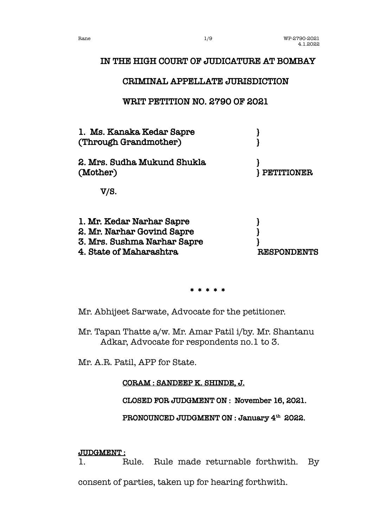# IN THE HIGH COURT OF JUDICATURE AT BOMBAY

## CRIMINAL APPELLATE JURISDICTION

# WRIT PETITION NO. 2790 OF 2021



\* \* \* \* \*

Mr. Abhijeet Sarwate, Advocate for the petitioner.

Mr. Tapan Thatte a/w. Mr. Amar Patil i/by. Mr. Shantanu Adkar, Advocate for respondents no.1 to 3.

Mr. A.R. Patil, APP for State.

CORAM : SANDEEP K. SHINDE, J.

CLOSED FOR JUDGMENT ON : November 16, 2021.

PRONOUNCED JUDGMENT ON : January 4<sup>th</sup> 2022.

### JUDGMENT :

1. Rule. Rule made returnable forthwith. By consent of parties, taken up for hearing forthwith.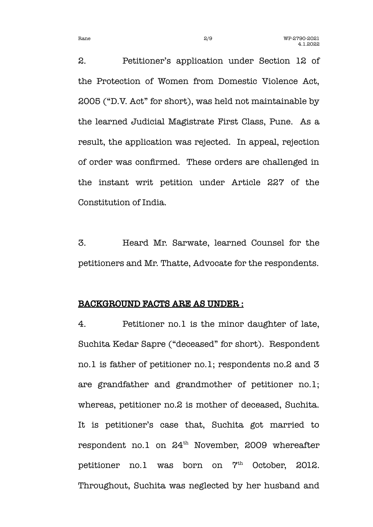2. Petitioner's application under Section 12 of the Protection of Women from Domestic Violence Act, 2005 ("D.V. Act" for short), was held not maintainable by the learned Judicial Magistrate First Class, Pune. As a result, the application was rejected. In appeal, rejection of order was confrmed. These orders are challenged in the instant writ petition under Article 227 of the Constitution of India.

3. Heard Mr. Sarwate, learned Counsel for the petitioners and Mr. Thatte, Advocate for the respondents.

#### BACKGROUND FACTS ARE AS UNDER :

4. Petitioner no.1 is the minor daughter of late, Suchita Kedar Sapre ("deceased" for short). Respondent no.1 is father of petitioner no.1; respondents no.2 and 3 are grandfather and grandmother of petitioner no.1; whereas, petitioner no.2 is mother of deceased, Suchita. It is petitioner's case that, Suchita got married to respondent no.1 on  $24<sup>th</sup>$  November, 2009 whereafter petitioner no.1 was born on 7<sup>th</sup> October, 2012. Throughout, Suchita was neglected by her husband and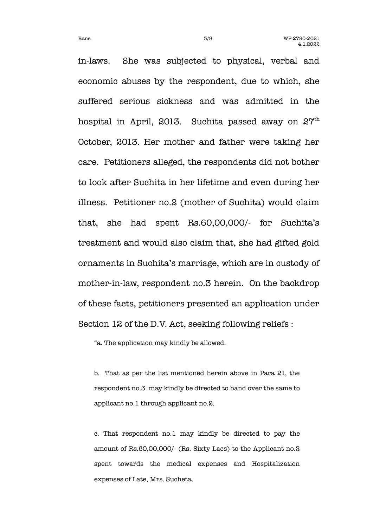in-laws. She was subjected to physical, verbal and economic abuses by the respondent, due to which, she suffered serious sickness and was admitted in the hospital in April, 2013. Suchita passed away on  $27<sup>th</sup>$ October, 2013. Her mother and father were taking her care. Petitioners alleged, the respondents did not bother to look after Suchita in her lifetime and even during her illness. Petitioner no.2 (mother of Suchita) would claim that, she had spent Rs.60,00,000/- for Suchita's treatment and would also claim that, she had gifted gold ornaments in Suchita's marriage, which are in custody of mother-in-law, respondent no.3 herein. On the backdrop of these facts, petitioners presented an application under Section 12 of the D.V. Act, seeking following reliefs :

"a. The application may kindly be allowed.

b. That as per the list mentioned herein above in Para 21, the respondent no.3 may kindly be directed to hand over the same to applicant no.1 through applicant no.2.

c. That respondent no.1 may kindly be directed to pay the amount of Rs.60,00,000/- (Rs. Sixty Lacs) to the Applicant no.2 spent towards the medical expenses and Hospitalization expenses of Late, Mrs. Sucheta.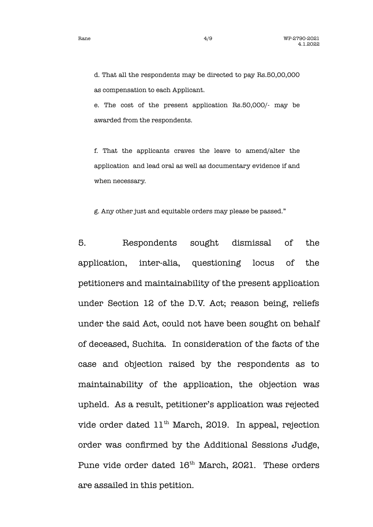d. That all the respondents may be directed to pay Rs.50,00,000 as compensation to each Applicant.

e. The cost of the present application Rs.50,000/- may be awarded from the respondents.

f. That the applicants craves the leave to amend/alter the application and lead oral as well as documentary evidence if and when necessary.

g. Any other just and equitable orders may please be passed."

5. Respondents sought dismissal of the application, inter-alia, questioning locus of the petitioners and maintainability of the present application under Section 12 of the D.V. Act; reason being, reliefs under the said Act, could not have been sought on behalf of deceased, Suchita. In consideration of the facts of the case and objection raised by the respondents as to maintainability of the application, the objection was upheld. As a result, petitioner's application was rejected vide order dated 11<sup>th</sup> March, 2019. In appeal, rejection order was confrmed by the Additional Sessions Judge, Pune vide order dated 16<sup>th</sup> March, 2021. These orders are assailed in this petition.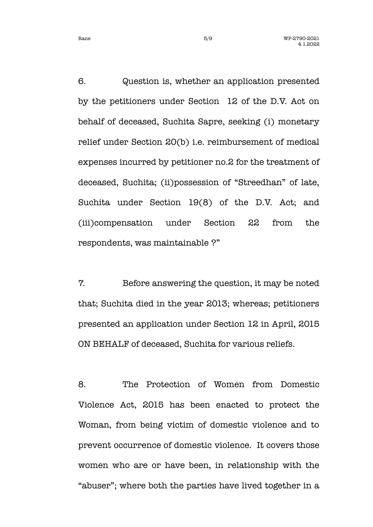6. Question is, whether an application presented by the petitioners under Section 12 of the D.V. Act on behalf of deceased, Suchita Sapre, seeking (i) monetary relief under Section 20(b) i.e. reimbursement of medical expenses incurred by petitioner no.2 for the treatment of deceased, Suchita; (ii)possession of "Streedhan" of late, Suchita under Section 19(8) of the D.V. Act; and (iii)compensation under Section 22 from the respondents, was maintainable ?"

7. Before answering the question, it may be noted that; Suchita died in the year 2013; whereas; petitioners presented an application under Section 12 in April, 2015 ON BEHALF of deceased, Suchita for various reliefs.

8. The Protection of Women from Domestic Violence Act, 2015 has been enacted to protect the Woman, from being victim of domestic violence and to prevent occurrence of domestic violence. It covers those women who are or have been, in relationship with the "abuser"; where both the parties have lived together in a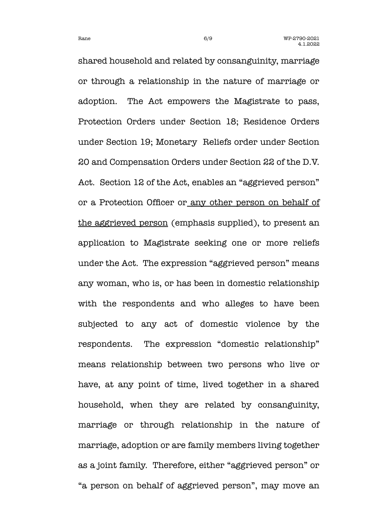shared household and related by consanguinity, marriage or through a relationship in the nature of marriage or adoption. The Act empowers the Magistrate to pass, Protection Orders under Section 18; Residence Orders under Section 19; Monetary Reliefs order under Section 20 and Compensation Orders under Section 22 of the D.V. Act. Section 12 of the Act, enables an "aggrieved person" or a Protection Officer or any other person on behalf of the aggrieved person (emphasis supplied), to present an application to Magistrate seeking one or more reliefs under the Act. The expression "aggrieved person" means any woman, who is, or has been in domestic relationship with the respondents and who alleges to have been subjected to any act of domestic violence by the respondents. The expression "domestic relationship" means relationship between two persons who live or have, at any point of time, lived together in a shared household, when they are related by consanguinity, marriage or through relationship in the nature of marriage, adoption or are family members living together as a joint family. Therefore, either "aggrieved person" or "a person on behalf of aggrieved person", may move an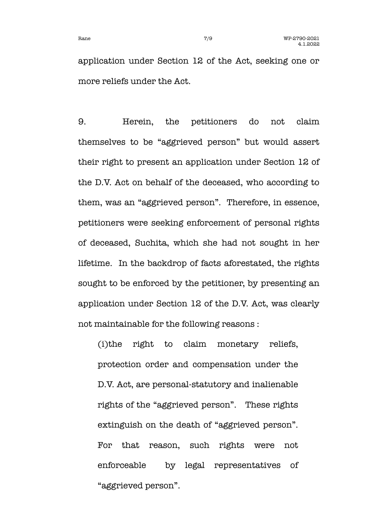application under Section 12 of the Act, seeking one or more reliefs under the Act.

9. Herein, the petitioners do not claim themselves to be "aggrieved person" but would assert their right to present an application under Section 12 of the D.V. Act on behalf of the deceased, who according to them, was an "aggrieved person". Therefore, in essence, petitioners were seeking enforcement of personal rights of deceased, Suchita, which she had not sought in her lifetime. In the backdrop of facts aforestated, the rights sought to be enforced by the petitioner, by presenting an application under Section 12 of the D.V. Act, was clearly not maintainable for the following reasons :

(i)the right to claim monetary reliefs, protection order and compensation under the D.V. Act, are personal-statutory and inalienable rights of the "aggrieved person". These rights extinguish on the death of "aggrieved person". For that reason, such rights were not enforceable by legal representatives of "aggrieved person".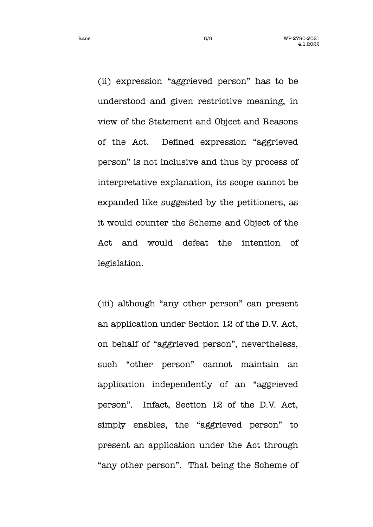Rane 8/9 8/9 WP-2790-2021 4.1.2022

(ii) expression "aggrieved person" has to be understood and given restrictive meaning, in view of the Statement and Object and Reasons of the Act. Defned expression "aggrieved person" is not inclusive and thus by process of interpretative explanation, its scope cannot be expanded like suggested by the petitioners, as it would counter the Scheme and Object of the Act and would defeat the intention of legislation.

(iii) although "any other person" can present an application under Section 12 of the D.V. Act, on behalf of "aggrieved person", nevertheless, such "other person" cannot maintain an application independently of an "aggrieved person". Infact, Section 12 of the D.V. Act, simply enables, the "aggrieved person" to present an application under the Act through "any other person". That being the Scheme of